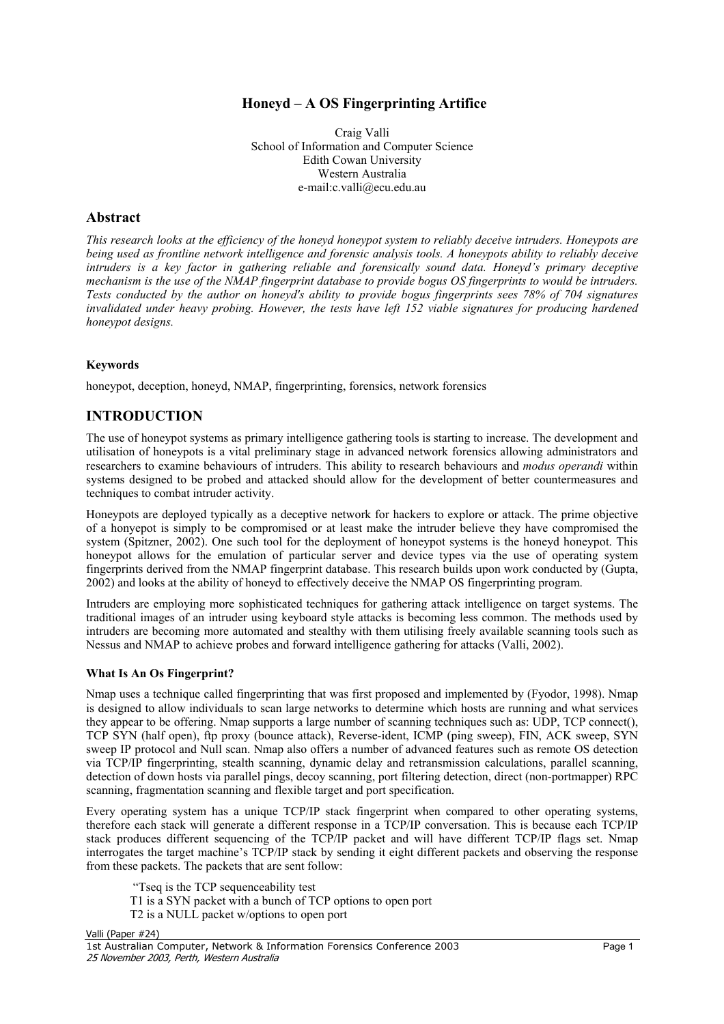### **Honeyd – A OS Fingerprinting Artifice**

Craig Valli School of Information and Computer Science Edith Cowan University Western Australia e-mail:c.valli@ecu.edu.au

### **Abstract**

*This research looks at the efficiency of the honeyd honeypot system to reliably deceive intruders. Honeypots are being used as frontline network intelligence and forensic analysis tools. A honeypots ability to reliably deceive intruders is a key factor in gathering reliable and forensically sound data. Honeyd's primary deceptive mechanism is the use of the NMAP fingerprint database to provide bogus OS fingerprints to would be intruders. Tests conducted by the author on honeyd's ability to provide bogus fingerprints sees 78% of 704 signatures invalidated under heavy probing. However, the tests have left 152 viable signatures for producing hardened honeypot designs.* 

### **Keywords**

honeypot, deception, honeyd, NMAP, fingerprinting, forensics, network forensics

## **INTRODUCTION**

The use of honeypot systems as primary intelligence gathering tools is starting to increase. The development and utilisation of honeypots is a vital preliminary stage in advanced network forensics allowing administrators and researchers to examine behaviours of intruders. This ability to research behaviours and *modus operandi* within systems designed to be probed and attacked should allow for the development of better countermeasures and techniques to combat intruder activity.

Honeypots are deployed typically as a deceptive network for hackers to explore or attack. The prime objective of a honyepot is simply to be compromised or at least make the intruder believe they have compromised the system (Spitzner, 2002). One such tool for the deployment of honeypot systems is the honeyd honeypot. This honeypot allows for the emulation of particular server and device types via the use of operating system fingerprints derived from the NMAP fingerprint database. This research builds upon work conducted by (Gupta, 2002) and looks at the ability of honeyd to effectively deceive the NMAP OS fingerprinting program.

Intruders are employing more sophisticated techniques for gathering attack intelligence on target systems. The traditional images of an intruder using keyboard style attacks is becoming less common. The methods used by intruders are becoming more automated and stealthy with them utilising freely available scanning tools such as Nessus and NMAP to achieve probes and forward intelligence gathering for attacks (Valli, 2002).

#### **What Is An Os Fingerprint?**

Nmap uses a technique called fingerprinting that was first proposed and implemented by (Fyodor, 1998). Nmap is designed to allow individuals to scan large networks to determine which hosts are running and what services they appear to be offering. Nmap supports a large number of scanning techniques such as: UDP, TCP connect(), TCP SYN (half open), ftp proxy (bounce attack), Reverse-ident, ICMP (ping sweep), FIN, ACK sweep, SYN sweep IP protocol and Null scan. Nmap also offers a number of advanced features such as remote OS detection via TCP/IP fingerprinting, stealth scanning, dynamic delay and retransmission calculations, parallel scanning, detection of down hosts via parallel pings, decoy scanning, port filtering detection, direct (non-portmapper) RPC scanning, fragmentation scanning and flexible target and port specification.

Every operating system has a unique TCP/IP stack fingerprint when compared to other operating systems, therefore each stack will generate a different response in a TCP/IP conversation. This is because each TCP/IP stack produces different sequencing of the TCP/IP packet and will have different TCP/IP flags set. Nmap interrogates the target machine's TCP/IP stack by sending it eight different packets and observing the response from these packets. The packets that are sent follow:

- "Tseq is the TCP sequenceability test
- T1 is a SYN packet with a bunch of TCP options to open port
- T2 is a NULL packet w/options to open port

Valli (Paper #24)

1st Australian Computer, Network & Information Forensics Conference 2003 Page 1 25 November 2003, Perth, Western Australia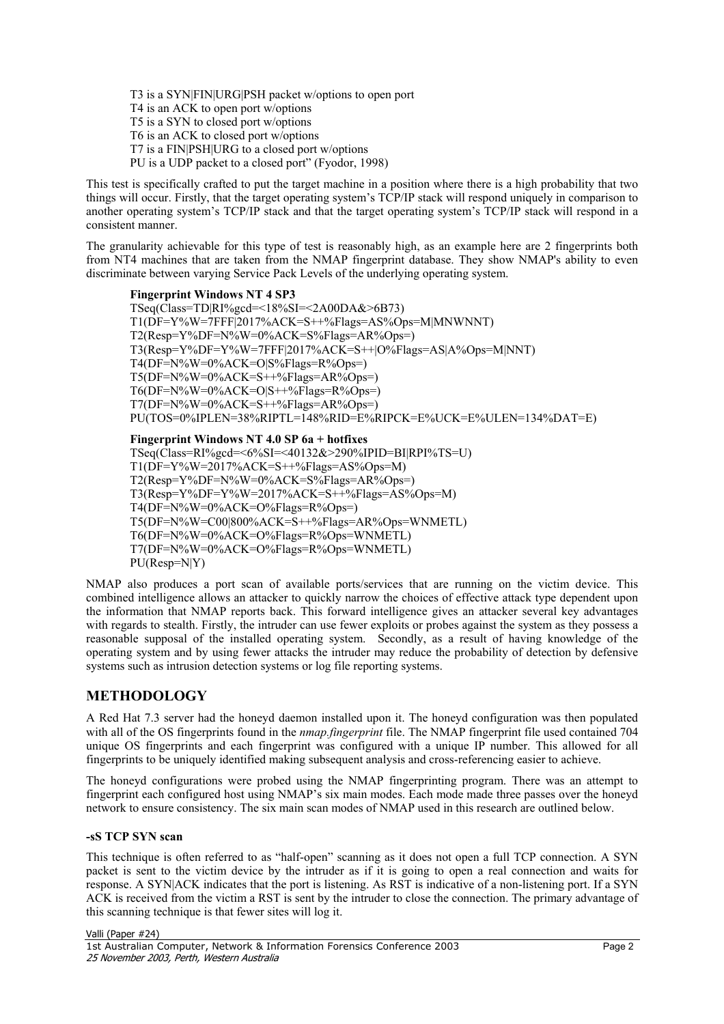T3 is a SYN|FIN|URG|PSH packet w/options to open port T4 is an ACK to open port w/options T5 is a SYN to closed port w/options T6 is an ACK to closed port w/options T7 is a FIN|PSH|URG to a closed port w/options PU is a UDP packet to a closed port" (Fyodor, 1998)

This test is specifically crafted to put the target machine in a position where there is a high probability that two things will occur. Firstly, that the target operating system's TCP/IP stack will respond uniquely in comparison to another operating system's TCP/IP stack and that the target operating system's TCP/IP stack will respond in a consistent manner.

The granularity achievable for this type of test is reasonably high, as an example here are 2 fingerprints both from NT4 machines that are taken from the NMAP fingerprint database. They show NMAP's ability to even discriminate between varying Service Pack Levels of the underlying operating system.

**Fingerprint Windows NT 4 SP3**  TSeq(Class=TD|RI%gcd=<18%SI=<2A00DA&>6B73) T1(DF=Y%W=7FFF|2017%ACK=S++%Flags=AS%Ops=M|MNWNNT) T2(Resp=Y%DF=N%W=0%ACK=S%Flags=AR%Ops=) T3(Resp=Y%DF=Y%W=7FFF|2017%ACK=S++|O%Flags=AS|A%Ops=M|NNT) T4(DF=N%W=0%ACK=O|S%Flags=R%Ops=)  $T5(DF=N\%W=0\%ACK=S++\%Flag=AR\%Ops=)$ T6(DF=N%W=0%ACK=O|S++%Flags=R%Ops=)  $T7(DF=N\%W=0\%ACK=S++\%Flags=AR\%Ops=)$ PU(TOS=0%IPLEN=38%RIPTL=148%RID=E%RIPCK=E%UCK=E%ULEN=134%DAT=E)

**Fingerprint Windows NT 4.0 SP 6a + hotfixes**  TSeq(Class=RI%gcd=<6%SI=<40132&>290%IPID=BI|RPI%TS=U) T1(DF=Y%W=2017%ACK=S++%Flags=AS%Ops=M) T2(Resp=Y%DF=N%W=0%ACK=S%Flags=AR%Ops=) T3(Resp=Y%DF=Y%W=2017%ACK=S++%Flags=AS%Ops=M) T4(DF=N%W=0%ACK=O%Flags=R%Ops=) T5(DF=N%W=C00|800%ACK=S++%Flags=AR%Ops=WNMETL) T6(DF=N%W=0%ACK=O%Flags=R%Ops=WNMETL) T7(DF=N%W=0%ACK=O%Flags=R%Ops=WNMETL) PU(Resp=N|Y)

NMAP also produces a port scan of available ports/services that are running on the victim device. This combined intelligence allows an attacker to quickly narrow the choices of effective attack type dependent upon the information that NMAP reports back. This forward intelligence gives an attacker several key advantages with regards to stealth. Firstly, the intruder can use fewer exploits or probes against the system as they possess a reasonable supposal of the installed operating system. Secondly, as a result of having knowledge of the operating system and by using fewer attacks the intruder may reduce the probability of detection by defensive systems such as intrusion detection systems or log file reporting systems.

# **METHODOLOGY**

A Red Hat 7.3 server had the honeyd daemon installed upon it. The honeyd configuration was then populated with all of the OS fingerprints found in the *nmap.fingerprint* file. The NMAP fingerprint file used contained 704 unique OS fingerprints and each fingerprint was configured with a unique IP number. This allowed for all fingerprints to be uniquely identified making subsequent analysis and cross-referencing easier to achieve.

The honeyd configurations were probed using the NMAP fingerprinting program. There was an attempt to fingerprint each configured host using NMAP's six main modes. Each mode made three passes over the honeyd network to ensure consistency. The six main scan modes of NMAP used in this research are outlined below.

### **-sS TCP SYN scan**

This technique is often referred to as "half-open" scanning as it does not open a full TCP connection. A SYN packet is sent to the victim device by the intruder as if it is going to open a real connection and waits for response. A SYN|ACK indicates that the port is listening. As RST is indicative of a non-listening port. If a SYN ACK is received from the victim a RST is sent by the intruder to close the connection. The primary advantage of this scanning technique is that fewer sites will log it.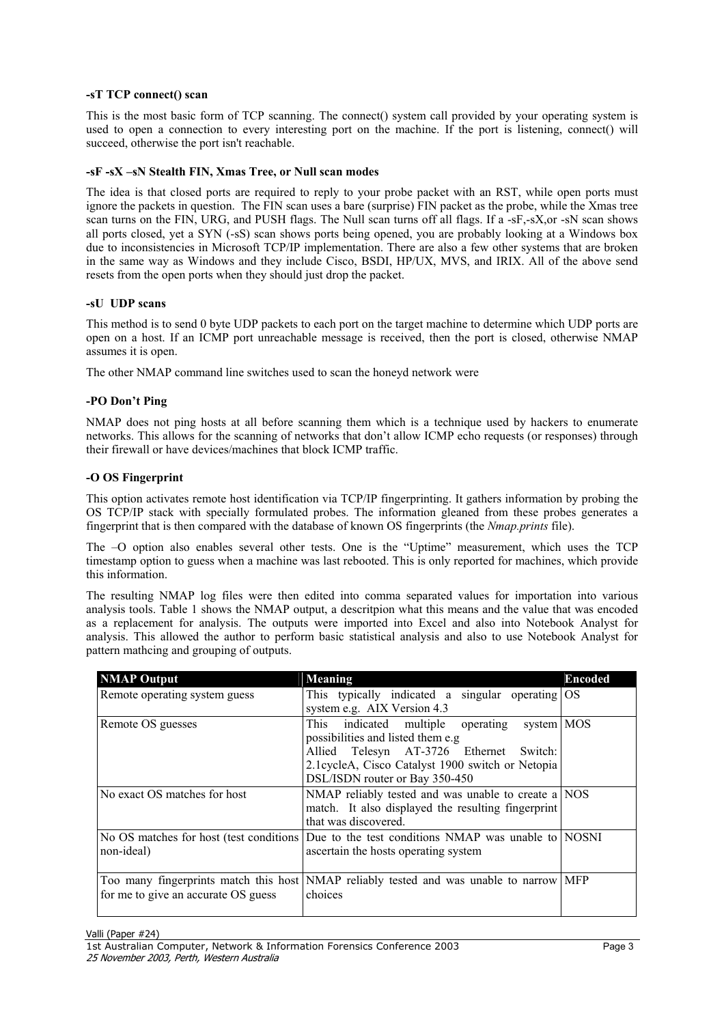#### **-sT TCP connect() scan**

This is the most basic form of TCP scanning. The connect() system call provided by your operating system is used to open a connection to every interesting port on the machine. If the port is listening, connect() will succeed, otherwise the port isn't reachable.

#### **-sF -sX –sN Stealth FIN, Xmas Tree, or Null scan modes**

The idea is that closed ports are required to reply to your probe packet with an RST, while open ports must ignore the packets in question. The FIN scan uses a bare (surprise) FIN packet as the probe, while the Xmas tree scan turns on the FIN, URG, and PUSH flags. The Null scan turns off all flags. If a -sF,-sX,or -sN scan shows all ports closed, yet a SYN (-sS) scan shows ports being opened, you are probably looking at a Windows box due to inconsistencies in Microsoft TCP/IP implementation. There are also a few other systems that are broken in the same way as Windows and they include Cisco, BSDI, HP/UX, MVS, and IRIX. All of the above send resets from the open ports when they should just drop the packet.

#### **-sU UDP scans**

This method is to send 0 byte UDP packets to each port on the target machine to determine which UDP ports are open on a host. If an ICMP port unreachable message is received, then the port is closed, otherwise NMAP assumes it is open.

The other NMAP command line switches used to scan the honeyd network were

#### **-PO Don't Ping**

NMAP does not ping hosts at all before scanning them which is a technique used by hackers to enumerate networks. This allows for the scanning of networks that don't allow ICMP echo requests (or responses) through their firewall or have devices/machines that block ICMP traffic.

#### **-O OS Fingerprint**

This option activates remote host identification via TCP/IP fingerprinting. It gathers information by probing the OS TCP/IP stack with specially formulated probes. The information gleaned from these probes generates a fingerprint that is then compared with the database of known OS fingerprints (the *Nmap.prints* file).

The –O option also enables several other tests. One is the "Uptime" measurement, which uses the TCP timestamp option to guess when a machine was last rebooted. This is only reported for machines, which provide this information.

The resulting NMAP log files were then edited into comma separated values for importation into various analysis tools. Table 1 shows the NMAP output, a descritpion what this means and the value that was encoded as a replacement for analysis. The outputs were imported into Excel and also into Notebook Analyst for analysis. This allowed the author to perform basic statistical analysis and also to use Notebook Analyst for pattern mathcing and grouping of outputs.

| <b>NMAP Output</b>                  | <b>Meaning</b>                                                                                                                                                                                                           | <b>Encoded</b> |
|-------------------------------------|--------------------------------------------------------------------------------------------------------------------------------------------------------------------------------------------------------------------------|----------------|
| Remote operating system guess       | This typically indicated a singular operating<br>system e.g. AIX Version 4.3                                                                                                                                             | <b>OS</b>      |
| Remote OS guesses                   | This<br>indicated multiple operating<br>system MOS<br>possibilities and listed them e.g<br>Allied Telesyn AT-3726 Ethernet Switch:<br>2.1cycleA, Cisco Catalyst 1900 switch or Netopia<br>DSL/ISDN router or Bay 350-450 |                |
| No exact OS matches for host        | NMAP reliably tested and was unable to create a NOS<br>match. It also displayed the resulting fingerprint<br>that was discovered.                                                                                        |                |
| non-ideal)                          | No OS matches for host (test conditions   Due to the test conditions NMAP was unable to   NOSNI<br>ascertain the hosts operating system                                                                                  |                |
| for me to give an accurate OS guess | Too many fingerprints match this host NMAP reliably tested and was unable to narrow<br>choices                                                                                                                           | <b>MFP</b>     |

Valli (Paper #24)

1st Australian Computer, Network & Information Forensics Conference 2003 Page 3 25 November 2003, Perth, Western Australia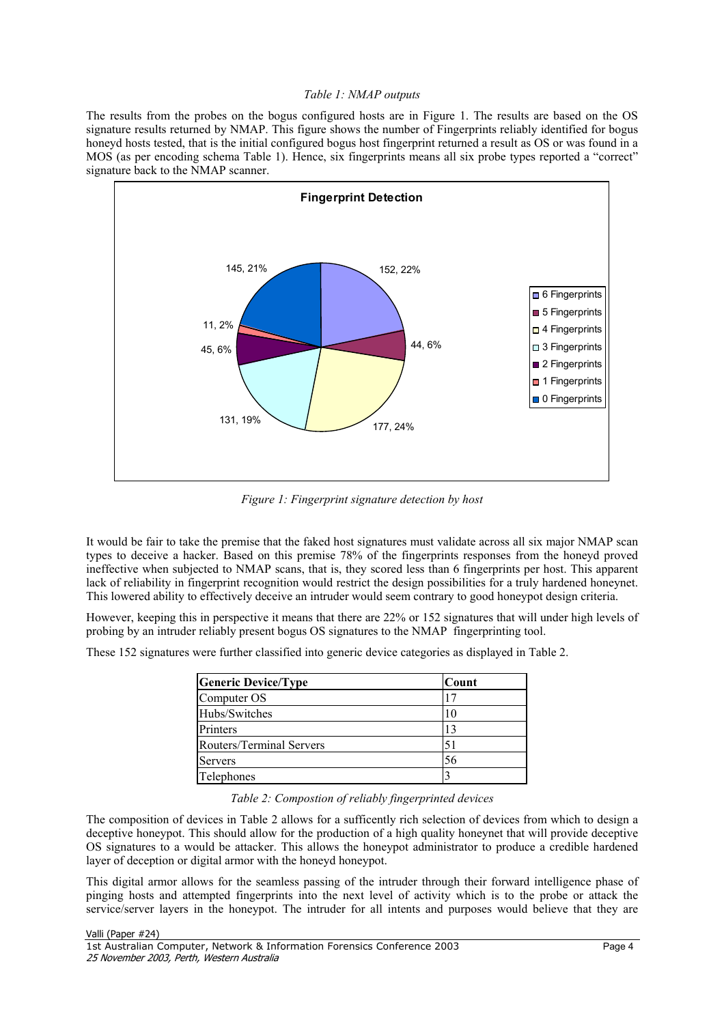#### *Table 1: NMAP outputs*

The results from the probes on the bogus configured hosts are in Figure 1. The results are based on the OS signature results returned by NMAP. This figure shows the number of Fingerprints reliably identified for bogus honeyd hosts tested, that is the initial configured bogus host fingerprint returned a result as OS or was found in a MOS (as per encoding schema Table 1). Hence, six fingerprints means all six probe types reported a "correct" signature back to the NMAP scanner.



*Figure 1: Fingerprint signature detection by host*

It would be fair to take the premise that the faked host signatures must validate across all six major NMAP scan types to deceive a hacker. Based on this premise 78% of the fingerprints responses from the honeyd proved ineffective when subjected to NMAP scans, that is, they scored less than 6 fingerprints per host. This apparent lack of reliability in fingerprint recognition would restrict the design possibilities for a truly hardened honeynet. This lowered ability to effectively deceive an intruder would seem contrary to good honeypot design criteria.

However, keeping this in perspective it means that there are 22% or 152 signatures that will under high levels of probing by an intruder reliably present bogus OS signatures to the NMAP fingerprinting tool.

These 152 signatures were further classified into generic device categories as displayed in Table 2.

| <b>Generic Device/Type</b> | Count |
|----------------------------|-------|
| Computer OS                |       |
| Hubs/Switches              | 10    |
| Printers                   | 13    |
| Routers/Terminal Servers   | 51    |
| Servers                    | 56    |
| Telephones                 |       |

*Table 2: Compostion of reliably fingerprinted devices* 

The composition of devices in Table 2 allows for a sufficently rich selection of devices from which to design a deceptive honeypot. This should allow for the production of a high quality honeynet that will provide deceptive OS signatures to a would be attacker. This allows the honeypot administrator to produce a credible hardened layer of deception or digital armor with the honeyd honeypot.

This digital armor allows for the seamless passing of the intruder through their forward intelligence phase of pinging hosts and attempted fingerprints into the next level of activity which is to the probe or attack the service/server layers in the honeypot. The intruder for all intents and purposes would believe that they are